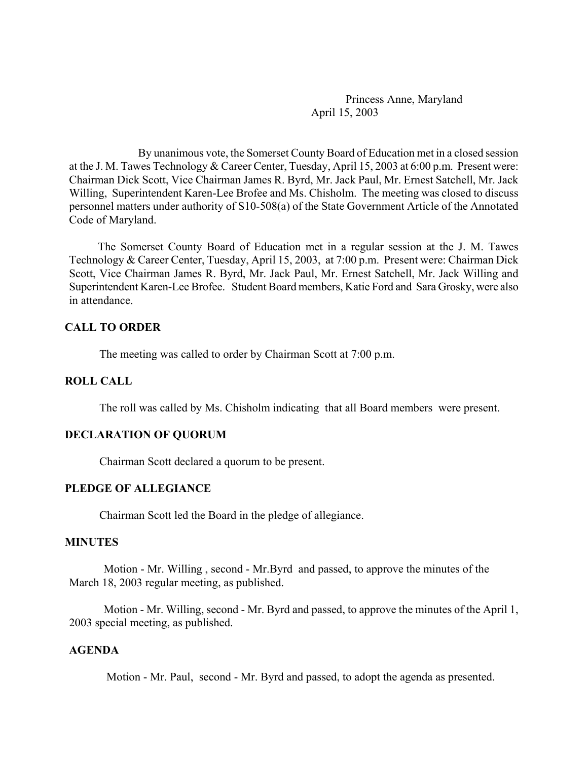Princess Anne, Maryland April 15, 2003

By unanimous vote, the Somerset County Board of Education met in a closed session at the J. M. Tawes Technology & Career Center, Tuesday, April 15, 2003 at 6:00 p.m. Present were: Chairman Dick Scott, Vice Chairman James R. Byrd, Mr. Jack Paul, Mr. Ernest Satchell, Mr. Jack Willing, Superintendent Karen-Lee Brofee and Ms. Chisholm. The meeting was closed to discuss personnel matters under authority of S10-508(a) of the State Government Article of the Annotated Code of Maryland.

 The Somerset County Board of Education met in a regular session at the J. M. Tawes Technology & Career Center, Tuesday, April 15, 2003, at 7:00 p.m. Present were: Chairman Dick Scott, Vice Chairman James R. Byrd, Mr. Jack Paul, Mr. Ernest Satchell, Mr. Jack Willing and Superintendent Karen-Lee Brofee. Student Board members, Katie Ford and Sara Grosky, were also in attendance.

## **CALL TO ORDER**

The meeting was called to order by Chairman Scott at 7:00 p.m.

### **ROLL CALL**

The roll was called by Ms. Chisholm indicating that all Board members were present.

## **DECLARATION OF QUORUM**

Chairman Scott declared a quorum to be present.

### **PLEDGE OF ALLEGIANCE**

Chairman Scott led the Board in the pledge of allegiance.

#### **MINUTES**

Motion - Mr. Willing , second - Mr.Byrd and passed, to approve the minutes of the March 18, 2003 regular meeting, as published.

Motion - Mr. Willing, second - Mr. Byrd and passed, to approve the minutes of the April 1, 2003 special meeting, as published.

## **AGENDA**

Motion - Mr. Paul, second - Mr. Byrd and passed, to adopt the agenda as presented.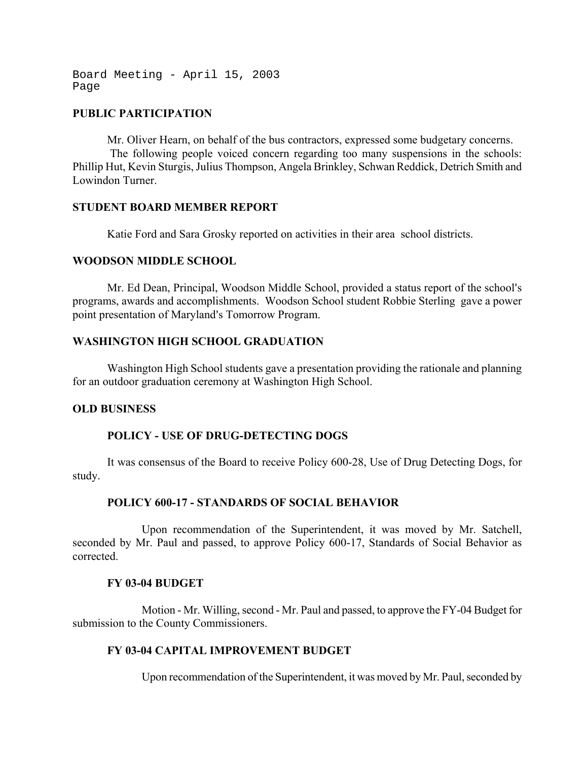Board Meeting - April 15, 2003 Page

## **PUBLIC PARTICIPATION**

Mr. Oliver Hearn, on behalf of the bus contractors, expressed some budgetary concerns. The following people voiced concern regarding too many suspensions in the schools: Phillip Hut, Kevin Sturgis, Julius Thompson, Angela Brinkley, Schwan Reddick, Detrich Smith and Lowindon Turner.

## **STUDENT BOARD MEMBER REPORT**

Katie Ford and Sara Grosky reported on activities in their area school districts.

## **WOODSON MIDDLE SCHOOL**

Mr. Ed Dean, Principal, Woodson Middle School, provided a status report of the school's programs, awards and accomplishments. Woodson School student Robbie Sterling gave a power point presentation of Maryland's Tomorrow Program.

## **WASHINGTON HIGH SCHOOL GRADUATION**

Washington High School students gave a presentation providing the rationale and planning for an outdoor graduation ceremony at Washington High School.

## **OLD BUSINESS**

## **POLICY - USE OF DRUG-DETECTING DOGS**

It was consensus of the Board to receive Policy 600-28, Use of Drug Detecting Dogs, for study.

## **POLICY 600-17 - STANDARDS OF SOCIAL BEHAVIOR**

Upon recommendation of the Superintendent, it was moved by Mr. Satchell, seconded by Mr. Paul and passed, to approve Policy 600-17, Standards of Social Behavior as corrected.

## **FY 03-04 BUDGET**

Motion - Mr. Willing, second - Mr. Paul and passed, to approve the FY-04 Budget for submission to the County Commissioners.

## **FY 03-04 CAPITAL IMPROVEMENT BUDGET**

Upon recommendation of the Superintendent, it was moved by Mr. Paul, seconded by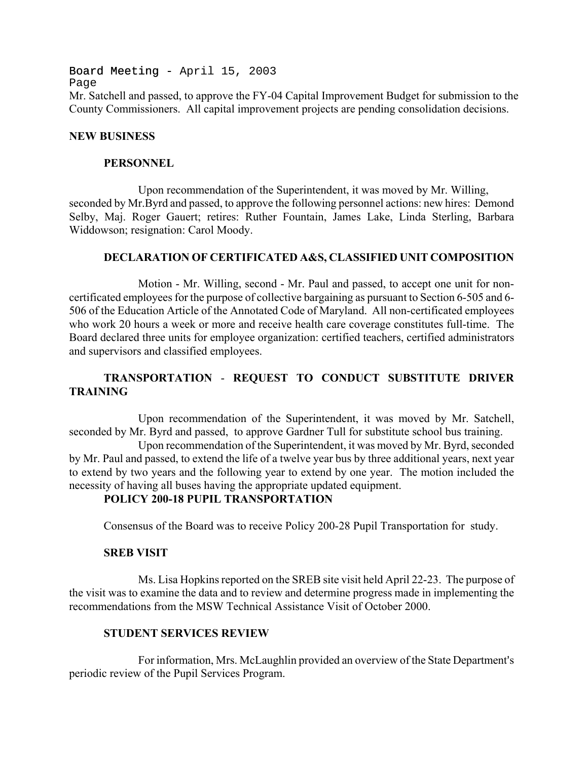Board Meeting - April 15, 2003 Page Mr. Satchell and passed, to approve the FY-04 Capital Improvement Budget for submission to the County Commissioners. All capital improvement projects are pending consolidation decisions.

### **NEW BUSINESS**

### **PERSONNEL**

Upon recommendation of the Superintendent, it was moved by Mr. Willing, seconded by Mr.Byrd and passed, to approve the following personnel actions: new hires: Demond Selby, Maj. Roger Gauert; retires: Ruther Fountain, James Lake, Linda Sterling, Barbara Widdowson; resignation: Carol Moody.

## **DECLARATION OF CERTIFICATED A&S, CLASSIFIED UNIT COMPOSITION**

Motion - Mr. Willing, second - Mr. Paul and passed, to accept one unit for noncertificated employees for the purpose of collective bargaining as pursuant to Section 6-505 and 6- 506 of the Education Article of the Annotated Code of Maryland. All non-certificated employees who work 20 hours a week or more and receive health care coverage constitutes full-time.The Board declared three units for employee organization: certified teachers, certified administrators and supervisors and classified employees.

# **TRANSPORTATION** - **REQUEST TO CONDUCT SUBSTITUTE DRIVER TRAINING**

Upon recommendation of the Superintendent, it was moved by Mr. Satchell, seconded by Mr. Byrd and passed, to approve Gardner Tull for substitute school bus training.

Upon recommendation of the Superintendent, it was moved by Mr. Byrd, seconded by Mr. Paul and passed, to extend the life of a twelve year bus by three additional years, next year to extend by two years and the following year to extend by one year. The motion included the necessity of having all buses having the appropriate updated equipment.

# **POLICY 200-18 PUPIL TRANSPORTATION**

Consensus of the Board was to receive Policy 200-28 Pupil Transportation for study.

## **SREB VISIT**

Ms. Lisa Hopkins reported on the SREB site visit held April 22-23. The purpose of the visit was to examine the data and to review and determine progress made in implementing the recommendations from the MSW Technical Assistance Visit of October 2000.

## **STUDENT SERVICES REVIEW**

For information, Mrs. McLaughlin provided an overview of the State Department's periodic review of the Pupil Services Program.